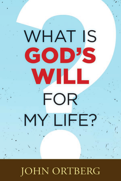# **WHAT IS** GOD'S WILL **FOR** MY LIFE?

### **JOHN ORTBERG**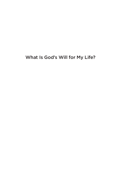#### What Is God's Will for My Life?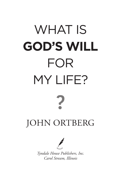## WHAT IS **GOD'S WILL**  FOR MY LIFE? JOHN ORTBERG



*Tyndale House Publishers, Inc. Carol Stream, Illinois*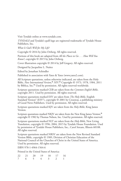Visit Tyndale online at www.tyndale.com.

*TYNDALE* and Tyndale's quill logo are registered trademarks of Tyndale House Publishers, Inc.

*What Is God's Will for My Life?*

Copyright © 2016 by John Ortberg. All rights reserved.

Portions of this book are adapted from *All the Places to Go . . . How Will You Know?*, copyright © 2015 by John Ortberg.

Cover illustration copyright © 2014 by Jeff Gregory. All rights reserved.

Designed by Jacqueline L. Nuñez

Edited by Jonathan Schindler

Published in association with Yates & Yates (www.yates2.com).

All Scripture quotations, unless otherwise indicated, are taken from the Holy Bible, *New International Version*, ® *NIV*. ® Copyright © 1973, 1978, 1984, 2011 by Biblica, Inc.® Used by permission. All rights reserved worldwide.

Scripture quotations marked CEB are taken from the *Common English Bible*, copyright 2011. Used by permission. All rights reserved.

Scripture quotations marked ESV are taken from *The Holy Bible*, English Standard Version® (ESV®), copyright © 2001 by Crossway, a publishing ministry of Good News Publishers. Used by permission. All rights reserved.

Scripture quotations marked KJV are taken from the *Holy Bible*, King James Version.

Scripture quotations marked NKJV are taken from the New King James Version,® copyright © 1982 by Thomas Nelson, Inc. Used by permission. All rights reserved.

Scripture quotations marked NLT are taken from the *Holy Bible*, New Living Translation, copyright © 1996, 2004, 2015 by Tyndale House Foundation. Used by permission of Tyndale House Publishers, Inc., Carol Stream, Illinois 60188. All rights reserved.

Scripture quotations marked NRSV are taken from the New Revised Standard Version Bible, copyright © 1989, Division of Christian Education of the National Council of the Churches of Christ in the United States of America. Used by permission. All rights reserved.

ISBN 978-1-4964-1564-6

Printed in the United States of America

|  |  | 22 21 20 19 18 17 16 |          |
|--|--|----------------------|----------|
|  |  |                      | $\sim$ 1 |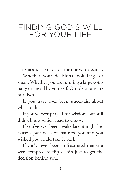#### FINDING GOD'S WILL FOR YOUR LIFE

THIS BOOK IS FOR YOU—the one who decides.

Whether your decisions look large or small. Whether you are running a large company or are all by yourself. Our decisions are our lives.

If you have ever been uncertain about what to do.

If you've ever prayed for wisdom but still didn't know which road to choose.

If you've ever been awake late at night because a past decision haunted you and you wished you could take it back.

If you've ever been so frustrated that you were tempted to flip a coin just to get the decision behind you.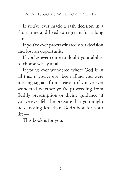If you've ever made a rash decision in a short time and lived to regret it for a long time.

If you've ever procrastinated on a decision and lost an opportunity.

If you've ever come to doubt your ability to choose wisely at all.

If you've ever wondered where God is in all this; if you've ever been afraid you were missing signals from heaven; if you've ever wondered whether you're proceeding from fleshly presumption or divine guidance; if you've ever felt the pressure that you might be choosing less than God's best for your life—

This book is for you.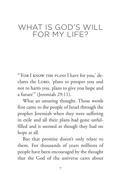### WHAT IS GOD'S WILL FOR MY LIFE?

"'For I know the plans I have for you,' declares the LORD, 'plans to prosper you and not to harm you, plans to give you hope and a future'" (Jeremiah 29:11).

What an amazing thought. Those words first came to the people of Israel through the prophet Jeremiah when they were suffering in exile and all their plans had gone unfulfilled and it seemed as though they had no hope at all.

But that promise doesn't only relate to them. For thousands of years millions of people have been encouraged by the thought that the God of the universe cares about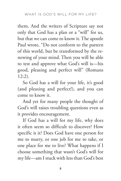them. And the writers of Scripture say not only that God has a plan or a "will" for us, but that we can come to know it. The apostle Paul wrote, "Do not conform to the pattern of this world, but be transformed by the renewing of your mind. Then you will be able to test and approve what God's will is—his good, pleasing and perfect will" (Romans 12:2).

So God has a will for your life, it's good (and pleasing and perfect!), and you can come to know it.

And yet for many people the thought of God's will raises troubling questions even as it provides encouragement.

If God has a will for my life, why does it often seem so difficult to discover? How specific is it? Does God have one person for me to marry, or one job for me to take, or one place for me to live? What happens if I choose something that wasn't God's will for my life—am I stuck with less than God's best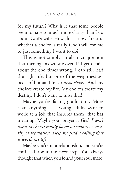for my future? Why is it that some people seem to have so much more clarity than I do about God's will? How do I know for sure whether a choice is really God's will for me or just something I want to do?

This is not simply an abstract question that theologians wrestle over. If I get details about the end times wrong, I can still lead the right life. But one of the weightiest aspects of human life is *I must choose*. And my choices create my life. My choices create my destiny. I don't want to miss that!

Maybe you're facing graduation. More than anything else, young adults want to work at a job that inspires them, that has meaning. Maybe your prayer is *God, I don't want to choose mostly based on money or security or reputation. Help me find a calling that is worth my life*.

Maybe you're in a relationship, and you're confused about the next step. You always thought that when you found your soul mate,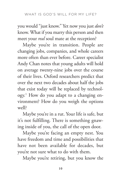you would "just know." Yet now you just *don't* know. What if you marry this person and then meet your *real* soul mate at the reception?

Maybe you're in transition. People are changing jobs, companies, and whole careers more often than ever before. Career specialist Andy Chan notes that young adults will hold on average twenty-nine jobs over the course of their lives. Oxford researchers predict that over the next two decades about half the jobs that exist today will be replaced by technology.1 How do you adapt to a changing environment? How do you weigh the options well?

Maybe you're in a rut. Your life is safe, but it's not fulfilling. There is something gnawing inside of you, the call of the open door.

Maybe you're facing an empty nest. You have freedom and time and possibilities that have not been available for decades, but you're not sure what to do with them.

Maybe you're retiring, but you know the